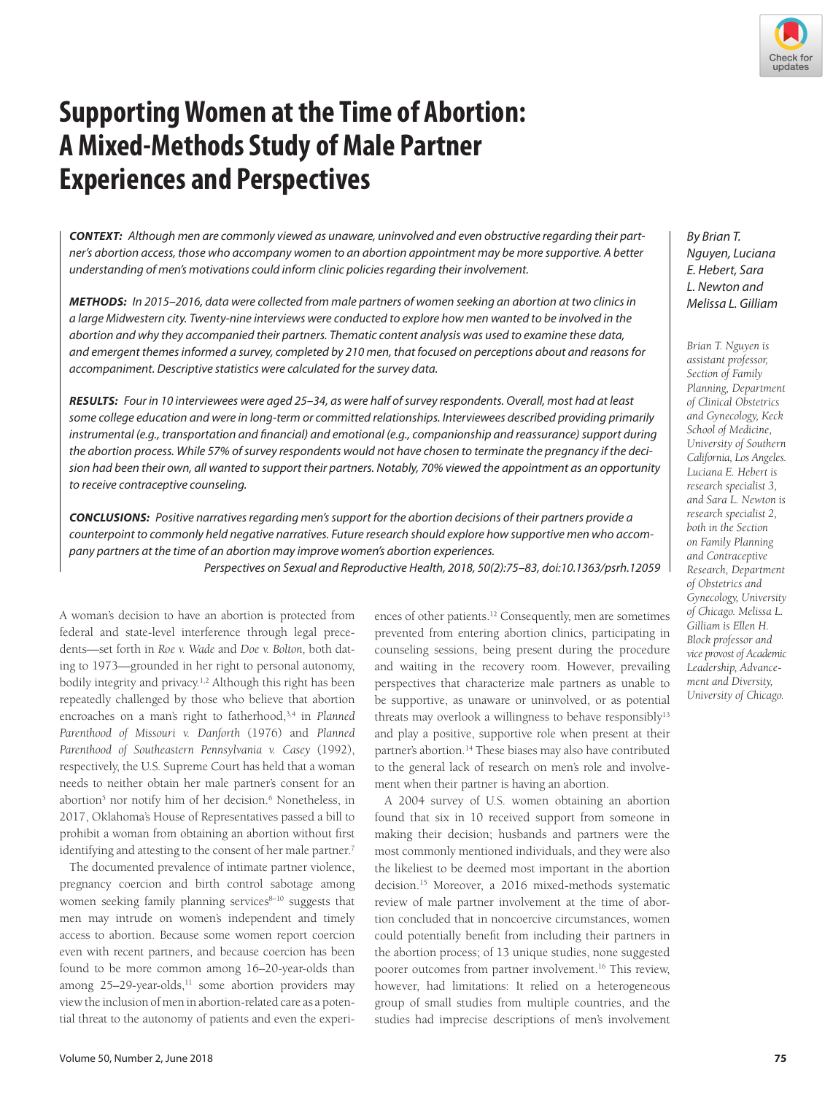

# **Supporting Women at the Time of Abortion: A Mixed-Methods Study of Male Partner Experiences and Perspectives**

*CONTEXT: Although men are commonly viewed as unaware, uninvolved and even obstructive regarding their partner's abortion access, those who accompany women to an abortion appointment may be more supportive. A better understanding of men's motivations could inform clinic policies regarding their involvement.*

*METHODS: In 2015–2016, data were collected from male partners of women seeking an abortion at two clinics in a large Midwestern city. Twenty-nine interviews were conducted to explore how men wanted to be involved in the abortion and why they accompanied their partners. Thematic content analysis was used to examine these data, and emergent themes informed a survey, completed by 210 men, that focused on perceptions about and reasons for accompaniment. Descriptive statistics were calculated for the survey data.*

*RESULTS: Four in 10 interviewees were aged 25–34, as were half of survey respondents. Overall, most had at least some college education and were in long-term or committed relationships. Interviewees described providing primarily instrumental (e.g., transportation and financial) and emotional (e.g., companionship and reassurance) support during the abortion process. While 57% of survey respondents would not have chosen to terminate the pregnancy if the decision had been their own, all wanted to support their partners. Notably, 70% viewed the appointment as an opportunity to receive contraceptive counseling.* 

*CONCLUSIONS: Positive narratives regarding men's support for the abortion decisions of their partners provide a counterpoint to commonly held negative narratives. Future research should explore how supportive men who accompany partners at the time of an abortion may improve women's abortion experiences. Perspectives on Sexual and Reproductive Health, 2018, 50(2):75–83, doi:10.1363/psrh.12059*

A woman's decision to have an abortion is protected from federal and state-level interference through legal precedents—set forth in *Roe v. Wade* and *Doe v. Bolton,* both dating to 1973—grounded in her right to personal autonomy, bodily integrity and privacy.1,2 Although this right has been repeatedly challenged by those who believe that abortion encroaches on a man's right to fatherhood,<sup>3,4</sup> in *Planned Parenthood of Missouri v. Danforth* (1976) and *Planned Parenthood of Southeastern Pennsylvania v. Casey* (1992), respectively, the U.S. Supreme Court has held that a woman needs to neither obtain her male partner's consent for an abortion<sup>5</sup> nor notify him of her decision.<sup>6</sup> Nonetheless, in 2017, Oklahoma's House of Representatives passed a bill to prohibit a woman from obtaining an abortion without first identifying and attesting to the consent of her male partner.<sup>7</sup>

The documented prevalence of intimate partner violence, pregnancy coercion and birth control sabotage among women seeking family planning services<sup>8-10</sup> suggests that men may intrude on women's independent and timely access to abortion. Because some women report coercion even with recent partners, and because coercion has been found to be more common among 16–20-year-olds than among  $25-29$ -year-olds,<sup>11</sup> some abortion providers may view the inclusion of men in abortion-related care as a potential threat to the autonomy of patients and even the experiences of other patients.12 Consequently, men are sometimes prevented from entering abortion clinics, participating in counseling sessions, being present during the procedure and waiting in the recovery room. However, prevailing perspectives that characterize male partners as unable to be supportive, as unaware or uninvolved, or as potential threats may overlook a willingness to behave responsibly<sup>13</sup> and play a positive, supportive role when present at their partner's abortion.14 These biases may also have contributed to the general lack of research on men's role and involvement when their partner is having an abortion.

A 2004 survey of U.S. women obtaining an abortion found that six in 10 received support from someone in making their decision; husbands and partners were the most commonly mentioned individuals, and they were also the likeliest to be deemed most important in the abortion decision.15 Moreover, a 2016 mixed-methods systematic review of male partner involvement at the time of abortion concluded that in noncoercive circumstances, women could potentially benefit from including their partners in the abortion process; of 13 unique studies, none suggested poorer outcomes from partner involvement.<sup>16</sup> This review, however, had limitations: It relied on a heterogeneous group of small studies from multiple countries, and the studies had imprecise descriptions of men's involvement *By Brian T. Nguyen, Luciana E. Hebert, Sara L. Newton and Melissa L. Gilliam* 

*Brian T. Nguyen is assistant professor, Section of Family Planning, Department of Clinical Obstetrics and Gynecology, Keck School of Medicine, University of Southern California, Los Angeles. Luciana E. Hebert is research specialist 3, and Sara L. Newton is research specialist 2, both in the Section on Family Planning and Contraceptive Research, Department of Obstetrics and Gynecology, University of Chicago. Melissa L. Gilliam is Ellen H. Block professor and vice provost of Academic Leadership, Advancement and Diversity, University of Chicago.*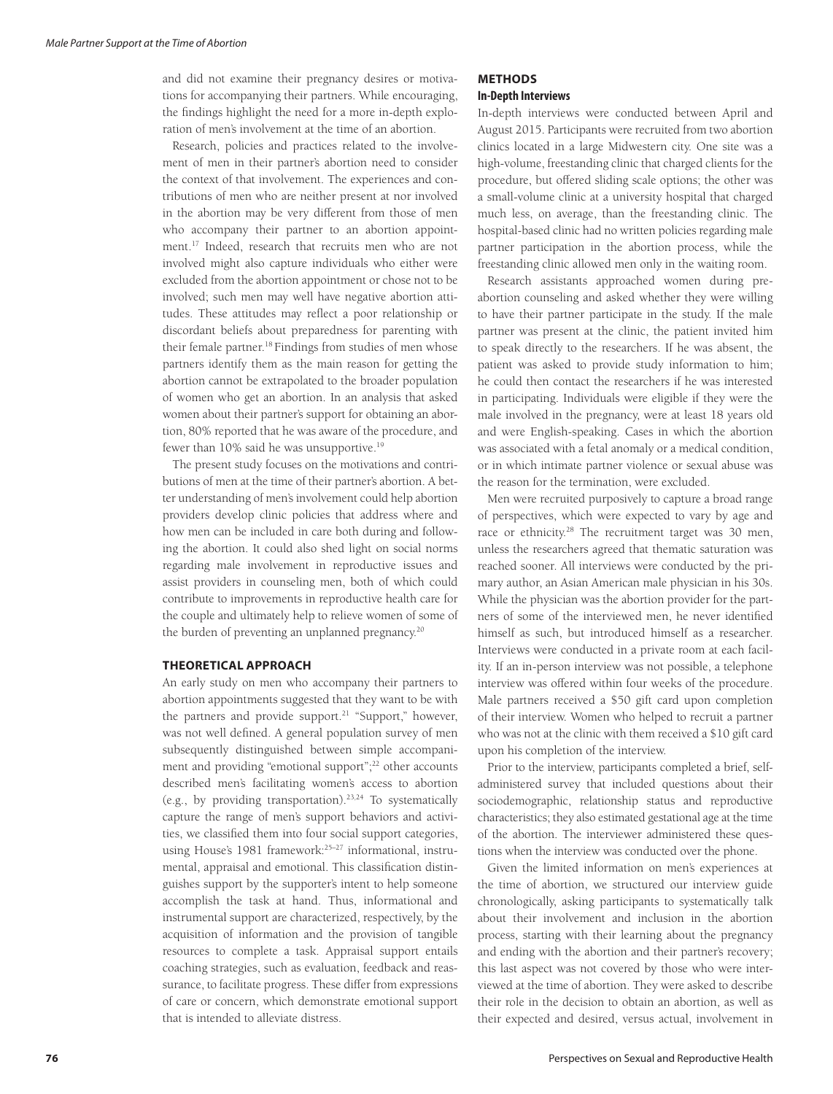and did not examine their pregnancy desires or motivations for accompanying their partners. While encouraging, the findings highlight the need for a more in-depth exploration of men's involvement at the time of an abortion.

Research, policies and practices related to the involvement of men in their partner's abortion need to consider the context of that involvement. The experiences and contributions of men who are neither present at nor involved in the abortion may be very different from those of men who accompany their partner to an abortion appointment.17 Indeed, research that recruits men who are not involved might also capture individuals who either were excluded from the abortion appointment or chose not to be involved; such men may well have negative abortion attitudes. These attitudes may reflect a poor relationship or discordant beliefs about preparedness for parenting with their female partner.<sup>18</sup> Findings from studies of men whose partners identify them as the main reason for getting the abortion cannot be extrapolated to the broader population of women who get an abortion. In an analysis that asked women about their partner's support for obtaining an abortion, 80% reported that he was aware of the procedure, and fewer than 10% said he was unsupportive.<sup>19</sup>

The present study focuses on the motivations and contributions of men at the time of their partner's abortion. A better understanding of men's involvement could help abortion providers develop clinic policies that address where and how men can be included in care both during and following the abortion. It could also shed light on social norms regarding male involvement in reproductive issues and assist providers in counseling men, both of which could contribute to improvements in reproductive health care for the couple and ultimately help to relieve women of some of the burden of preventing an unplanned pregnancy.<sup>20</sup>

### **THEORETICAL APPROACH**

An early study on men who accompany their partners to abortion appointments suggested that they want to be with the partners and provide support.<sup>21</sup> "Support," however, was not well defined. A general population survey of men subsequently distinguished between simple accompaniment and providing "emotional support";<sup>22</sup> other accounts described men's facilitating women's access to abortion (e.g., by providing transportation).<sup>23,24</sup> To systematically capture the range of men's support behaviors and activities, we classified them into four social support categories, using House's 1981 framework:<sup>25-27</sup> informational, instrumental, appraisal and emotional. This classification distinguishes support by the supporter's intent to help someone accomplish the task at hand. Thus, informational and instrumental support are characterized, respectively, by the acquisition of information and the provision of tangible resources to complete a task. Appraisal support entails coaching strategies, such as evaluation, feedback and reassurance, to facilitate progress. These differ from expressions of care or concern, which demonstrate emotional support that is intended to alleviate distress.

#### **METHODS In-Depth Interviews**

In-depth interviews were conducted between April and August 2015. Participants were recruited from two abortion clinics located in a large Midwestern city. One site was a high-volume, freestanding clinic that charged clients for the procedure, but offered sliding scale options; the other was a small-volume clinic at a university hospital that charged much less, on average, than the freestanding clinic. The hospital-based clinic had no written policies regarding male partner participation in the abortion process, while the freestanding clinic allowed men only in the waiting room.

Research assistants approached women during preabortion counseling and asked whether they were willing to have their partner participate in the study. If the male partner was present at the clinic, the patient invited him to speak directly to the researchers. If he was absent, the patient was asked to provide study information to him; he could then contact the researchers if he was interested in participating. Individuals were eligible if they were the male involved in the pregnancy, were at least 18 years old and were English-speaking. Cases in which the abortion was associated with a fetal anomaly or a medical condition, or in which intimate partner violence or sexual abuse was the reason for the termination, were excluded.

Men were recruited purposively to capture a broad range of perspectives, which were expected to vary by age and race or ethnicity.28 The recruitment target was 30 men, unless the researchers agreed that thematic saturation was reached sooner. All interviews were conducted by the primary author, an Asian American male physician in his 30s. While the physician was the abortion provider for the partners of some of the interviewed men, he never identified himself as such, but introduced himself as a researcher. Interviews were conducted in a private room at each facility. If an in-person interview was not possible, a telephone interview was offered within four weeks of the procedure. Male partners received a \$50 gift card upon completion of their interview. Women who helped to recruit a partner who was not at the clinic with them received a \$10 gift card upon his completion of the interview.

Prior to the interview, participants completed a brief, selfadministered survey that included questions about their sociodemographic, relationship status and reproductive characteristics; they also estimated gestational age at the time of the abortion. The interviewer administered these questions when the interview was conducted over the phone.

Given the limited information on men's experiences at the time of abortion, we structured our interview guide chronologically, asking participants to systematically talk about their involvement and inclusion in the abortion process, starting with their learning about the pregnancy and ending with the abortion and their partner's recovery; this last aspect was not covered by those who were interviewed at the time of abortion. They were asked to describe their role in the decision to obtain an abortion, as well as their expected and desired, versus actual, involvement in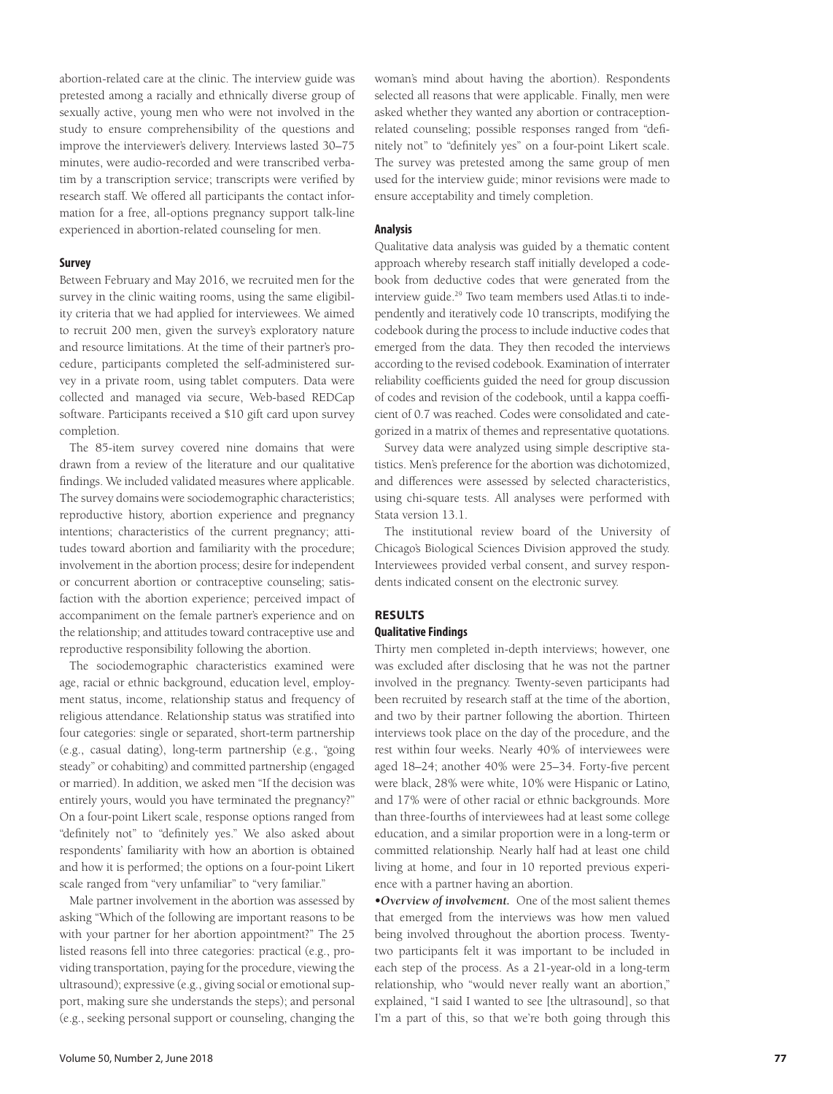abortion-related care at the clinic. The interview guide was pretested among a racially and ethnically diverse group of sexually active, young men who were not involved in the study to ensure comprehensibility of the questions and improve the interviewer's delivery. Interviews lasted 30–75 minutes, were audio-recorded and were transcribed verbatim by a transcription service; transcripts were verified by research staff. We offered all participants the contact information for a free, all-options pregnancy support talk-line experienced in abortion-related counseling for men.

#### **Survey**

Between February and May 2016, we recruited men for the survey in the clinic waiting rooms, using the same eligibility criteria that we had applied for interviewees. We aimed to recruit 200 men, given the survey's exploratory nature and resource limitations. At the time of their partner's procedure, participants completed the self-administered survey in a private room, using tablet computers. Data were collected and managed via secure, Web-based REDCap software. Participants received a \$10 gift card upon survey completion.

The 85-item survey covered nine domains that were drawn from a review of the literature and our qualitative findings. We included validated measures where applicable. The survey domains were sociodemographic characteristics; reproductive history, abortion experience and pregnancy intentions; characteristics of the current pregnancy; attitudes toward abortion and familiarity with the procedure; involvement in the abortion process; desire for independent or concurrent abortion or contraceptive counseling; satisfaction with the abortion experience; perceived impact of accompaniment on the female partner's experience and on the relationship; and attitudes toward contraceptive use and reproductive responsibility following the abortion.

The sociodemographic characteristics examined were age, racial or ethnic background, education level, employment status, income, relationship status and frequency of religious attendance. Relationship status was stratified into four categories: single or separated, short-term partnership (e.g., casual dating), long-term partnership (e.g., "going steady" or cohabiting) and committed partnership (engaged or married). In addition, we asked men "If the decision was entirely yours, would you have terminated the pregnancy?" On a four-point Likert scale, response options ranged from "definitely not" to "definitely yes." We also asked about respondents' familiarity with how an abortion is obtained and how it is performed; the options on a four-point Likert scale ranged from "very unfamiliar" to "very familiar."

Male partner involvement in the abortion was assessed by asking "Which of the following are important reasons to be with your partner for her abortion appointment?" The 25 listed reasons fell into three categories: practical (e.g., providing transportation, paying for the procedure, viewing the ultrasound); expressive (e.g., giving social or emotional support, making sure she understands the steps); and personal (e.g., seeking personal support or counseling, changing the

woman's mind about having the abortion). Respondents selected all reasons that were applicable. Finally, men were asked whether they wanted any abortion or contraceptionrelated counseling; possible responses ranged from "definitely not" to "definitely yes" on a four-point Likert scale. The survey was pretested among the same group of men used for the interview guide; minor revisions were made to ensure acceptability and timely completion.

#### **Analysis**

Qualitative data analysis was guided by a thematic content approach whereby research staff initially developed a codebook from deductive codes that were generated from the interview guide.29 Two team members used Atlas.ti to independently and iteratively code 10 transcripts, modifying the codebook during the process to include inductive codes that emerged from the data. They then recoded the interviews according to the revised codebook. Examination of interrater reliability coefficients guided the need for group discussion of codes and revision of the codebook, until a kappa coefficient of 0.7 was reached. Codes were consolidated and categorized in a matrix of themes and representative quotations.

Survey data were analyzed using simple descriptive statistics. Men's preference for the abortion was dichotomized, and differences were assessed by selected characteristics, using chi-square tests. All analyses were performed with Stata version 13.1.

The institutional review board of the University of Chicago's Biological Sciences Division approved the study. Interviewees provided verbal consent, and survey respondents indicated consent on the electronic survey.

# **RESULTS**

# **Qualitative Findings**

Thirty men completed in-depth interviews; however, one was excluded after disclosing that he was not the partner involved in the pregnancy. Twenty-seven participants had been recruited by research staff at the time of the abortion, and two by their partner following the abortion. Thirteen interviews took place on the day of the procedure, and the rest within four weeks. Nearly 40% of interviewees were aged 18–24; another 40% were 25–34. Forty-five percent were black, 28% were white, 10% were Hispanic or Latino, and 17% were of other racial or ethnic backgrounds. More than three-fourths of interviewees had at least some college education, and a similar proportion were in a long-term or committed relationship. Nearly half had at least one child living at home, and four in 10 reported previous experience with a partner having an abortion.

**•***Overview of involvement.* One of the most salient themes that emerged from the interviews was how men valued being involved throughout the abortion process. Twentytwo participants felt it was important to be included in each step of the process. As a 21-year-old in a long-term relationship, who "would never really want an abortion," explained, "I said I wanted to see [the ultrasound], so that I'm a part of this, so that we're both going through this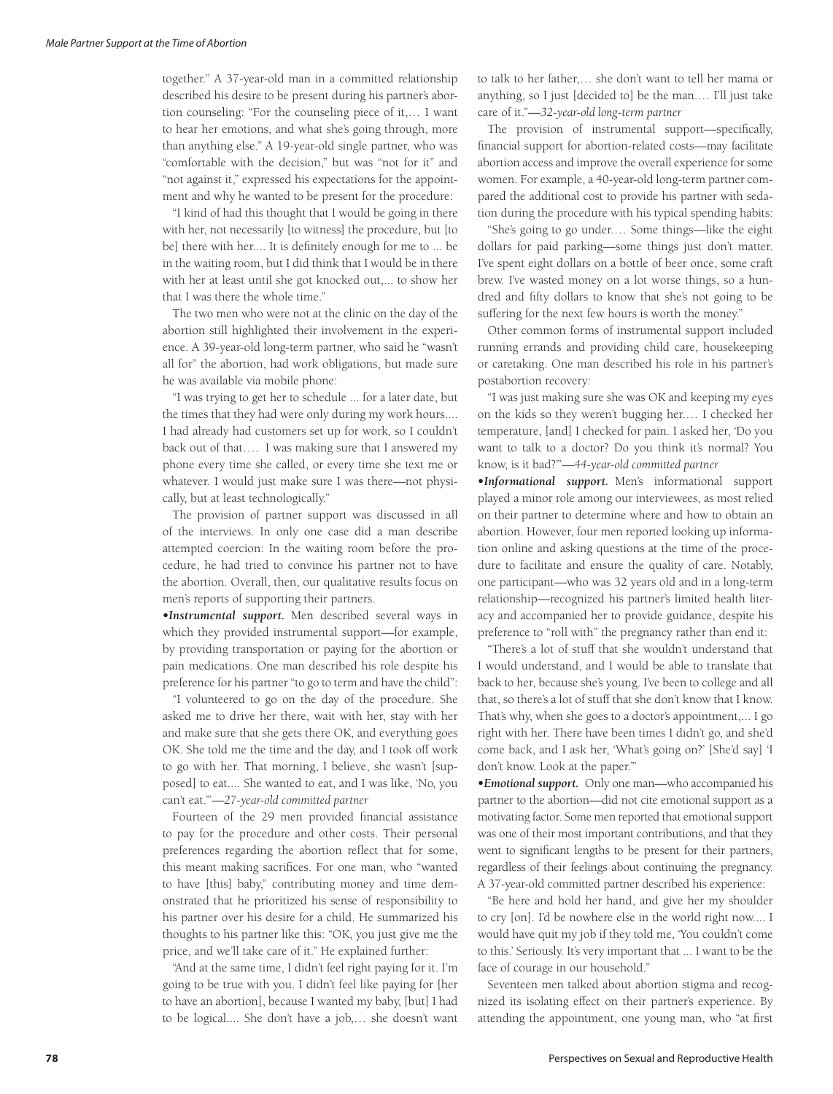together." A 37-year-old man in a committed relationship described his desire to be present during his partner's abortion counseling: "For the counseling piece of it,… I want to hear her emotions, and what she's going through, more than anything else." A 19-year-old single partner, who was "comfortable with the decision," but was "not for it" and "not against it," expressed his expectations for the appointment and why he wanted to be present for the procedure:

"I kind of had this thought that I would be going in there with her, not necessarily [to witness] the procedure, but [to be] there with her.... It is definitely enough for me to ... be in the waiting room, but I did think that I would be in there with her at least until she got knocked out,... to show her that I was there the whole time."

The two men who were not at the clinic on the day of the abortion still highlighted their involvement in the experience. A 39-year-old long-term partner, who said he "wasn't all for" the abortion, had work obligations, but made sure he was available via mobile phone:

"I was trying to get her to schedule ... for a later date, but the times that they had were only during my work hours.... I had already had customers set up for work, so I couldn't back out of that…. I was making sure that I answered my phone every time she called, or every time she text me or whatever. I would just make sure I was there—not physically, but at least technologically."

The provision of partner support was discussed in all of the interviews. In only one case did a man describe attempted coercion: In the waiting room before the procedure, he had tried to convince his partner not to have the abortion. Overall, then, our qualitative results focus on men's reports of supporting their partners.

**•***Instrumental support.* Men described several ways in which they provided instrumental support—for example, by providing transportation or paying for the abortion or pain medications. One man described his role despite his preference for his partner "to go to term and have the child":

"I volunteered to go on the day of the procedure. She asked me to drive her there, wait with her, stay with her and make sure that she gets there OK, and everything goes OK. She told me the time and the day, and I took off work to go with her. That morning, I believe, she wasn't [supposed] to eat.... She wanted to eat, and I was like, 'No, you can't eat.'"*—27-year-old committed partner*

Fourteen of the 29 men provided financial assistance to pay for the procedure and other costs. Their personal preferences regarding the abortion reflect that for some, this meant making sacrifices. For one man, who "wanted to have [this] baby," contributing money and time demonstrated that he prioritized his sense of responsibility to his partner over his desire for a child. He summarized his thoughts to his partner like this: "OK, you just give me the price, and we'll take care of it." He explained further:

"And at the same time, I didn't feel right paying for it. I'm going to be true with you. I didn't feel like paying for [her to have an abortion], because I wanted my baby, [but] I had to be logical.... She don't have a job,… she doesn't want to talk to her father,… she don't want to tell her mama or anything, so I just [decided to] be the man.… I'll just take care of it."*—32-year-old long-term partner*

The provision of instrumental support—specifically, financial support for abortion-related costs—may facilitate abortion access and improve the overall experience for some women. For example, a 40-year-old long-term partner compared the additional cost to provide his partner with sedation during the procedure with his typical spending habits:

"She's going to go under.… Some things—like the eight dollars for paid parking—some things just don't matter. I've spent eight dollars on a bottle of beer once, some craft brew. I've wasted money on a lot worse things, so a hundred and fifty dollars to know that she's not going to be suffering for the next few hours is worth the money."

Other common forms of instrumental support included running errands and providing child care, housekeeping or caretaking. One man described his role in his partner's postabortion recovery:

"I was just making sure she was OK and keeping my eyes on the kids so they weren't bugging her.… I checked her temperature, [and] I checked for pain. I asked her, 'Do you want to talk to a doctor? Do you think it's normal? You know, is it bad?'"*—44-year-old committed partner*

**•***Informational support.* Men's informational support played a minor role among our interviewees, as most relied on their partner to determine where and how to obtain an abortion. However, four men reported looking up information online and asking questions at the time of the procedure to facilitate and ensure the quality of care. Notably, one participant—who was 32 years old and in a long-term relationship—recognized his partner's limited health literacy and accompanied her to provide guidance, despite his preference to "roll with" the pregnancy rather than end it:

"There's a lot of stuff that she wouldn't understand that I would understand, and I would be able to translate that back to her, because she's young. I've been to college and all that, so there's a lot of stuff that she don't know that I know. That's why, when she goes to a doctor's appointment,... I go right with her. There have been times I didn't go, and she'd come back, and I ask her, 'What's going on?' [She'd say] 'I don't know. Look at the paper.'"

**•***Emotional support.* Only one man—who accompanied his partner to the abortion—did not cite emotional support as a motivating factor. Some men reported that emotional support was one of their most important contributions, and that they went to significant lengths to be present for their partners, regardless of their feelings about continuing the pregnancy. A 37-year-old committed partner described his experience:

"Be here and hold her hand, and give her my shoulder to cry [on]. I'd be nowhere else in the world right now.... I would have quit my job if they told me, 'You couldn't come to this.' Seriously. It's very important that ... I want to be the face of courage in our household."

Seventeen men talked about abortion stigma and recognized its isolating effect on their partner's experience. By attending the appointment, one young man, who "at first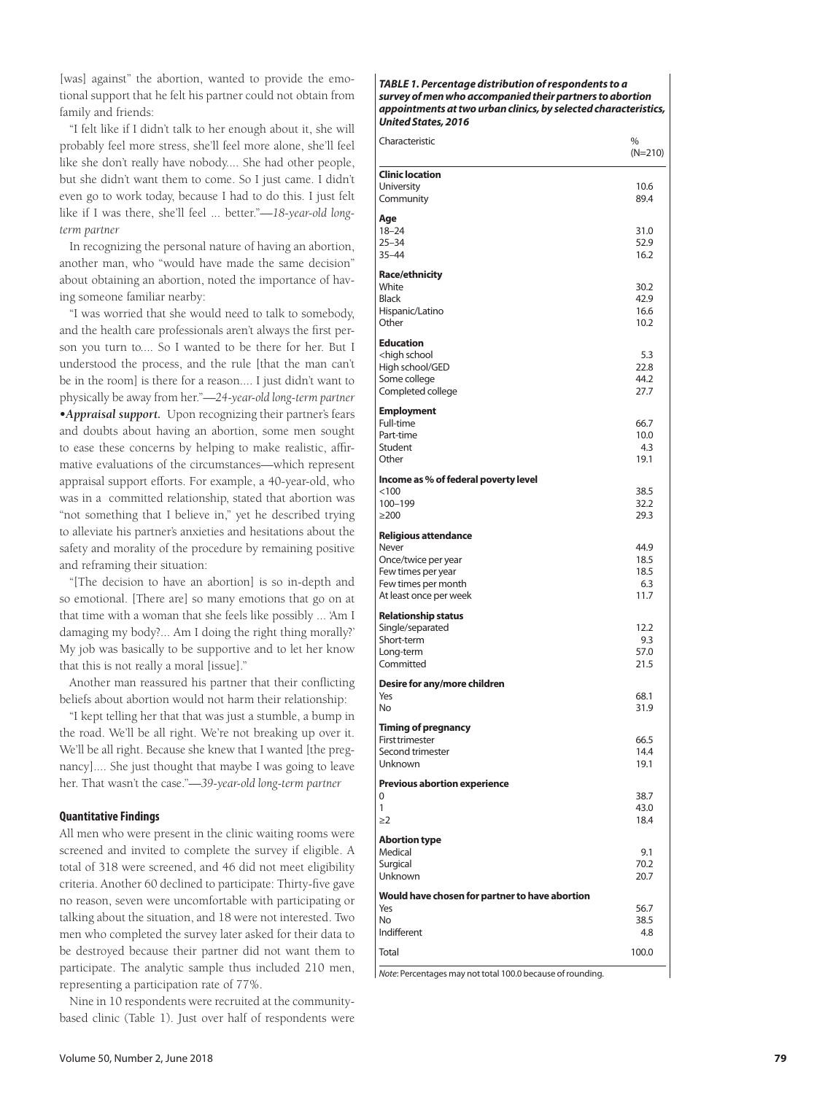[was] against" the abortion, wanted to provide the emotional support that he felt his partner could not obtain from family and friends:

"I felt like if I didn't talk to her enough about it, she will probably feel more stress, she'll feel more alone, she'll feel like she don't really have nobody.... She had other people, but she didn't want them to come. So I just came. I didn't even go to work today, because I had to do this. I just felt like if I was there, she'll feel ... better."*—18-year-old longterm partner*

In recognizing the personal nature of having an abortion, another man, who "would have made the same decision" about obtaining an abortion, noted the importance of having someone familiar nearby:

"I was worried that she would need to talk to somebody, and the health care professionals aren't always the first person you turn to.... So I wanted to be there for her. But I understood the process, and the rule [that the man can't be in the room] is there for a reason.... I just didn't want to physically be away from her."*—24-year-old long-term partner* **•***Appraisal support.* Upon recognizing their partner's fears and doubts about having an abortion, some men sought to ease these concerns by helping to make realistic, affirmative evaluations of the circumstances—which represent appraisal support efforts. For example, a 40-year-old, who was in a committed relationship, stated that abortion was "not something that I believe in," yet he described trying to alleviate his partner's anxieties and hesitations about the safety and morality of the procedure by remaining positive and reframing their situation:

"[The decision to have an abortion] is so in-depth and so emotional. [There are] so many emotions that go on at that time with a woman that she feels like possibly ... 'Am I damaging my body?... Am I doing the right thing morally?' My job was basically to be supportive and to let her know that this is not really a moral [issue]."

Another man reassured his partner that their conflicting beliefs about abortion would not harm their relationship:

"I kept telling her that that was just a stumble, a bump in the road. We'll be all right. We're not breaking up over it. We'll be all right. Because she knew that I wanted [the pregnancy].... She just thought that maybe I was going to leave her. That wasn't the case."*—39-year-old long-term partner*

#### **Quantitative Findings**

All men who were present in the clinic waiting rooms were screened and invited to complete the survey if eligible. A total of 318 were screened, and 46 did not meet eligibility criteria. Another 60 declined to participate: Thirty-five gave no reason, seven were uncomfortable with participating or talking about the situation, and 18 were not interested. Two men who completed the survey later asked for their data to be destroyed because their partner did not want them to participate. The analytic sample thus included 210 men, representing a participation rate of 77%.

Nine in 10 respondents were recruited at the communitybased clinic (Table 1). Just over half of respondents were

*TABLE 1. Percentage distribution of respondents to a survey of men who accompanied their partners to abortion appointments at two urban clinics, by selected characteristics, United States, 2016*

| Characteristic                                 | %<br>$(N=210)$ |
|------------------------------------------------|----------------|
| <b>Clinic location</b>                         |                |
| University                                     | 10.6           |
| Community                                      | 89.4           |
| Age                                            |                |
| $18 - 24$                                      | 31.0           |
| $25 - 34$<br>$35 - 44$                         | 52.9           |
|                                                | 16.2           |
| <b>Race/ethnicity</b>                          |                |
| White<br><b>Black</b>                          | 30.2<br>42.9   |
| Hispanic/Latino                                | 16.6           |
| Other                                          | 10.2           |
| <b>Education</b>                               |                |
| <high school<="" td=""><td>5.3</td></high>     | 5.3            |
| High school/GED                                | 22.8           |
| Some college                                   | 44.2           |
| Completed college                              | 27.7           |
| <b>Employment</b>                              |                |
| Full-time                                      | 66.7           |
| Part-time<br>Student                           | 10.0<br>4.3    |
| Other                                          | 19.1           |
|                                                |                |
| Income as % of federal poverty level<br>< 100  | 38.5           |
| 100-199                                        | 32.2           |
| >200                                           | 29.3           |
| Religious attendance                           |                |
| Never                                          | 44.9           |
| Once/twice per year                            | 18.5           |
| Few times per year                             | 18.5           |
| Few times per month<br>At least once per week  | 6.3<br>11.7    |
|                                                |                |
| <b>Relationship status</b><br>Single/separated | 12.2           |
| Short-term                                     | 9.3            |
| Long-term                                      | 57.0           |
| Committed                                      | 21.5           |
| Desire for any/more children                   |                |
| Yes                                            | 68.1           |
| No                                             | 31.9           |
| <b>Timing of pregnancy</b>                     |                |
| <b>First trimester</b>                         | 66.5           |
| Second trimester                               | 14.4           |
| Unknown                                        | 19.1           |
| <b>Previous abortion experience</b>            |                |
| 0<br>1                                         | 38.7<br>43.0   |
| $\geq$ 2                                       | 18.4           |
|                                                |                |
| <b>Abortion type</b><br>Medical                | 9.1            |
| Surgical                                       | 70.2           |
| Unknown                                        | 20.7           |
| Would have chosen for partner to have abortion |                |
| Yes                                            | 56.7           |
| N <sub>o</sub>                                 | 38.5           |
| Indifferent                                    | 4.8            |
| Total                                          | 100.0          |

*Note*: Percentages may not total 100.0 because of rounding.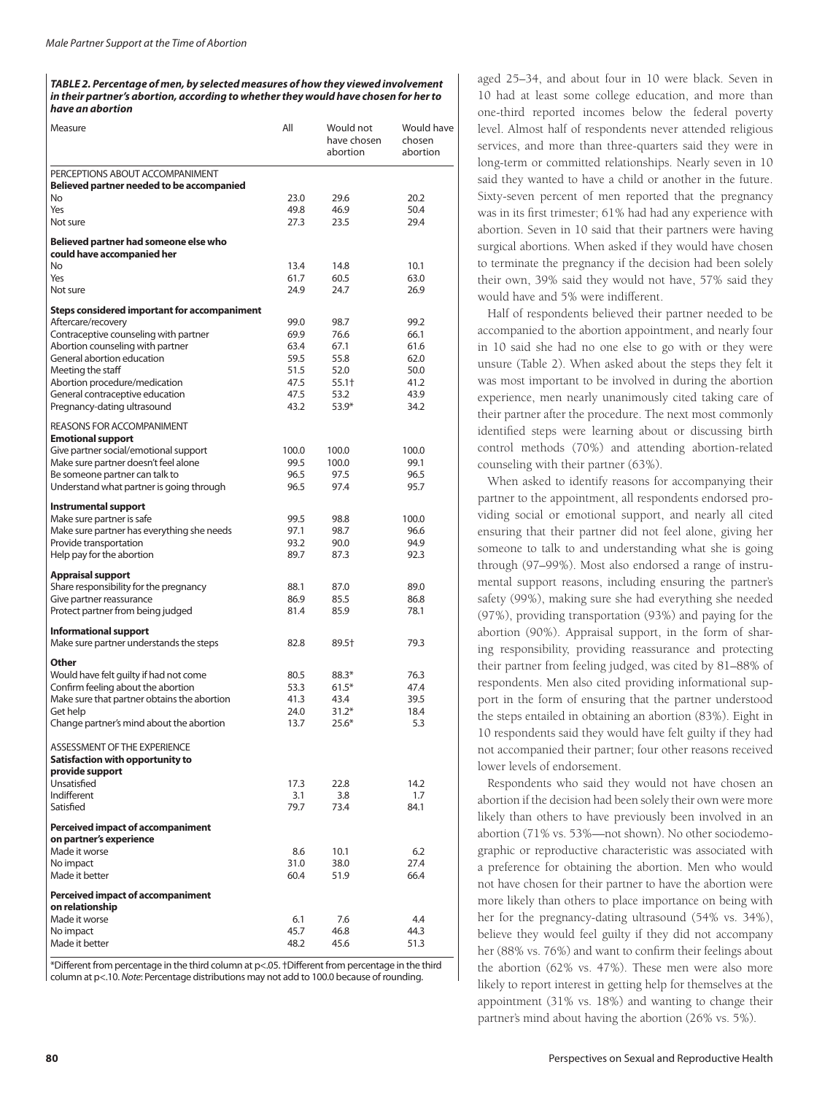*TABLE 2. Percentage of men, by selected measures of how they viewed involvement in their partner's abortion, according to whether they would have chosen for her to have an abortion* 

| Measure                                                                             | All          | Would not<br>have chosen<br>abortion | Would have<br>chosen<br>abortion |
|-------------------------------------------------------------------------------------|--------------|--------------------------------------|----------------------------------|
| PERCEPTIONS ABOUT ACCOMPANIMENT                                                     |              |                                      |                                  |
| Believed partner needed to be accompanied                                           |              |                                      |                                  |
| No                                                                                  | 23.0         | 29.6                                 | 20.2                             |
| Yes                                                                                 | 49.8         | 46.9                                 | 50.4                             |
| Not sure                                                                            | 27.3         | 23.5                                 | 29.4                             |
| Believed partner had someone else who<br>could have accompanied her                 |              |                                      |                                  |
| No.                                                                                 | 13.4         | 14.8                                 | 10.1                             |
| Yes<br>Not sure                                                                     | 61.7<br>24.9 | 60.5<br>24.7                         | 63.0<br>26.9                     |
| <b>Steps considered important for accompaniment</b>                                 |              |                                      |                                  |
| Aftercare/recovery                                                                  | 99.0         | 98.7                                 | 99.2                             |
| Contraceptive counseling with partner                                               | 69.9         | 76.6                                 | 66.1                             |
| Abortion counseling with partner                                                    | 63.4         | 67.1                                 | 61.6                             |
| General abortion education                                                          | 59.5         | 55.8                                 | 62.0                             |
| Meeting the staff<br>Abortion procedure/medication                                  | 51.5<br>47.5 | 52.0<br>$55.1+$                      | 50.0<br>41.2                     |
| General contraceptive education                                                     | 47.5         | 53.2                                 | 43.9                             |
| Pregnancy-dating ultrasound                                                         | 43.2         | 53.9*                                | 34.2                             |
| <b>REASONS FOR ACCOMPANIMENT</b>                                                    |              |                                      |                                  |
| <b>Emotional support</b>                                                            |              |                                      |                                  |
| Give partner social/emotional support                                               | 100.0        | 100.0                                | 100.0                            |
| Make sure partner doesn't feel alone                                                | 99.5         | 100.0                                | 99.1                             |
| Be someone partner can talk to                                                      | 96.5         | 97.5                                 | 96.5                             |
| Understand what partner is going through                                            | 96.5         | 97.4                                 | 95.7                             |
| <b>Instrumental support</b>                                                         |              |                                      |                                  |
| Make sure partner is safe                                                           | 99.5         | 98.8                                 | 100.0                            |
| Make sure partner has everything she needs                                          | 97.1         | 98.7                                 | 96.6                             |
| Provide transportation                                                              | 93.2         | 90.0                                 | 94.9                             |
| Help pay for the abortion                                                           | 89.7         | 87.3                                 | 92.3                             |
| <b>Appraisal support</b>                                                            |              |                                      |                                  |
| Share responsibility for the pregnancy                                              | 88.1         | 87.0                                 | 89.0                             |
| Give partner reassurance                                                            | 86.9         | 85.5                                 | 86.8                             |
| Protect partner from being judged                                                   | 81.4         | 85.9                                 | 78.1                             |
| <b>Informational support</b>                                                        |              |                                      |                                  |
| Make sure partner understands the steps                                             | 82.8         | 89.5†                                | 79.3                             |
| Other                                                                               |              |                                      |                                  |
| Would have felt guilty if had not come                                              | 80.5         | $88.3*$                              | 76.3                             |
| Confirm feeling about the abortion<br>Make sure that partner obtains the abortion   | 53.3         | $61.5*$<br>43.4                      | 47.4                             |
| Get help                                                                            | 41.3<br>24.0 | $31.2*$                              | 39.5<br>18.4                     |
| Change partner's mind about the abortion                                            | 13.7         | $25.6*$                              | 5.3                              |
| ASSESSMENT OF THE EXPERIENCE<br>Satisfaction with opportunity to<br>provide support |              |                                      |                                  |
| Unsatisfied                                                                         | 17.3         | 22.8                                 | 14.2                             |
| Indifferent                                                                         | 3.1          | 3.8                                  | 1.7                              |
| Satisfied                                                                           | 79.7         | 73.4                                 | 84.1                             |
| <b>Perceived impact of accompaniment</b><br>on partner's experience                 |              |                                      |                                  |
| Made it worse                                                                       | 8.6          | 10.1                                 | 6.2                              |
| No impact<br>Made it better                                                         | 31.0<br>60.4 | 38.0<br>51.9                         | 27.4<br>66.4                     |
| <b>Perceived impact of accompaniment</b>                                            |              |                                      |                                  |
| on relationship                                                                     |              |                                      |                                  |
| Made it worse                                                                       | 6.1          | 7.6                                  | 4.4                              |
| No impact                                                                           | 45.7         | 46.8                                 | 44.3                             |
| Made it better                                                                      | 48.2         | 45.6                                 | 51.3                             |

\*Different from percentage in the third column at p<.05. †Different from percentage in the third column at p<.10. *Note*: Percentage distributions may not add to 100.0 because of rounding.

aged 25–34, and about four in 10 were black. Seven in 10 had at least some college education, and more than one-third reported incomes below the federal poverty level. Almost half of respondents never attended religious services, and more than three-quarters said they were in long-term or committed relationships. Nearly seven in 10 said they wanted to have a child or another in the future. Sixty-seven percent of men reported that the pregnancy was in its first trimester; 61% had had any experience with abortion. Seven in 10 said that their partners were having surgical abortions. When asked if they would have chosen to terminate the pregnancy if the decision had been solely their own, 39% said they would not have, 57% said they would have and 5% were indifferent.

Half of respondents believed their partner needed to be accompanied to the abortion appointment, and nearly four in 10 said she had no one else to go with or they were unsure (Table 2). When asked about the steps they felt it was most important to be involved in during the abortion experience, men nearly unanimously cited taking care of their partner after the procedure. The next most commonly identified steps were learning about or discussing birth control methods (70%) and attending abortion-related counseling with their partner (63%).

When asked to identify reasons for accompanying their partner to the appointment, all respondents endorsed providing social or emotional support, and nearly all cited ensuring that their partner did not feel alone, giving her someone to talk to and understanding what she is going through (97–99%). Most also endorsed a range of instrumental support reasons, including ensuring the partner's safety (99%), making sure she had everything she needed (97%), providing transportation (93%) and paying for the abortion (90%). Appraisal support, in the form of sharing responsibility, providing reassurance and protecting their partner from feeling judged, was cited by 81–88% of respondents. Men also cited providing informational support in the form of ensuring that the partner understood the steps entailed in obtaining an abortion (83%). Eight in 10 respondents said they would have felt guilty if they had not accompanied their partner; four other reasons received lower levels of endorsement.

Respondents who said they would not have chosen an abortion if the decision had been solely their own were more likely than others to have previously been involved in an abortion (71% vs. 53%—not shown). No other sociodemographic or reproductive characteristic was associated with a preference for obtaining the abortion. Men who would not have chosen for their partner to have the abortion were more likely than others to place importance on being with her for the pregnancy-dating ultrasound (54% vs. 34%), believe they would feel guilty if they did not accompany her (88% vs. 76%) and want to confirm their feelings about the abortion (62% vs. 47%). These men were also more likely to report interest in getting help for themselves at the appointment (31% vs. 18%) and wanting to change their partner's mind about having the abortion (26% vs. 5%).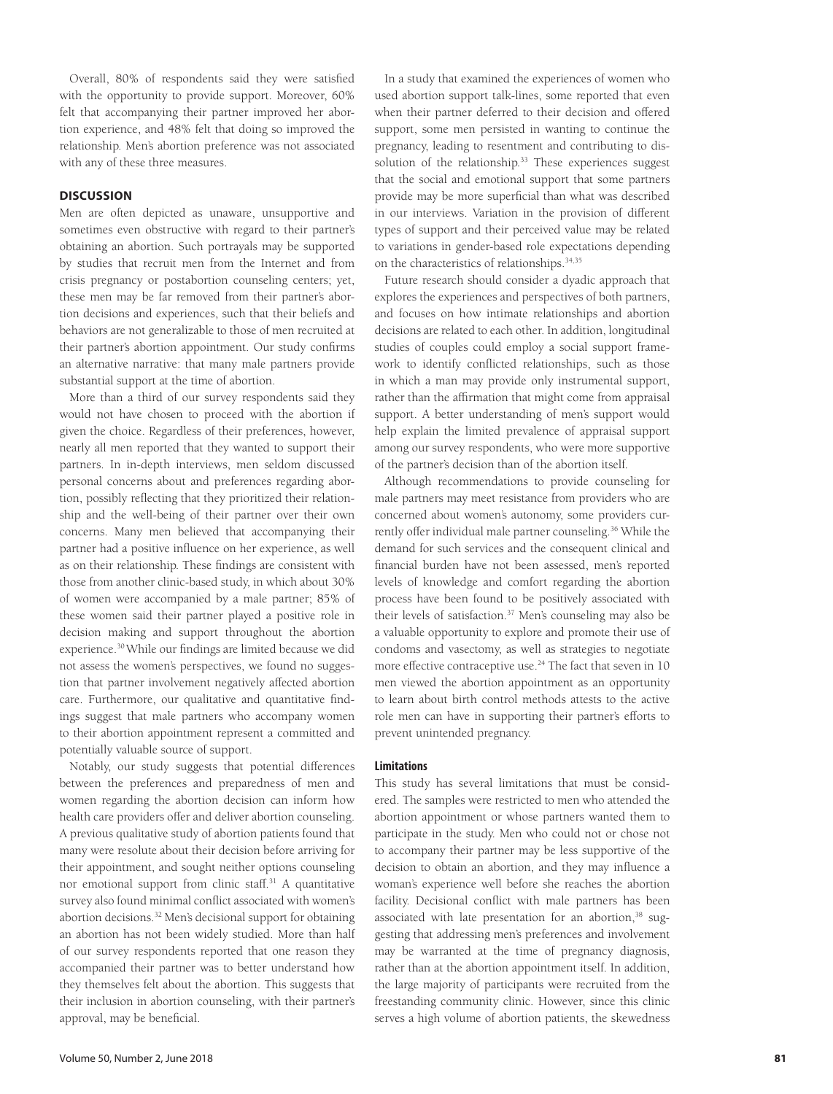Overall, 80% of respondents said they were satisfied with the opportunity to provide support. Moreover, 60% felt that accompanying their partner improved her abortion experience, and 48% felt that doing so improved the relationship. Men's abortion preference was not associated with any of these three measures.

## **DISCUSSION**

Men are often depicted as unaware, unsupportive and sometimes even obstructive with regard to their partner's obtaining an abortion. Such portrayals may be supported by studies that recruit men from the Internet and from crisis pregnancy or postabortion counseling centers; yet, these men may be far removed from their partner's abortion decisions and experiences, such that their beliefs and behaviors are not generalizable to those of men recruited at their partner's abortion appointment. Our study confirms an alternative narrative: that many male partners provide substantial support at the time of abortion.

More than a third of our survey respondents said they would not have chosen to proceed with the abortion if given the choice. Regardless of their preferences, however, nearly all men reported that they wanted to support their partners. In in-depth interviews, men seldom discussed personal concerns about and preferences regarding abortion, possibly reflecting that they prioritized their relationship and the well-being of their partner over their own concerns. Many men believed that accompanying their partner had a positive influence on her experience, as well as on their relationship. These findings are consistent with those from another clinic-based study, in which about 30% of women were accompanied by a male partner; 85% of these women said their partner played a positive role in decision making and support throughout the abortion experience.30 While our findings are limited because we did not assess the women's perspectives, we found no suggestion that partner involvement negatively affected abortion care. Furthermore, our qualitative and quantitative findings suggest that male partners who accompany women to their abortion appointment represent a committed and potentially valuable source of support.

Notably, our study suggests that potential differences between the preferences and preparedness of men and women regarding the abortion decision can inform how health care providers offer and deliver abortion counseling. A previous qualitative study of abortion patients found that many were resolute about their decision before arriving for their appointment, and sought neither options counseling nor emotional support from clinic staff.31 A quantitative survey also found minimal conflict associated with women's abortion decisions.32 Men's decisional support for obtaining an abortion has not been widely studied. More than half of our survey respondents reported that one reason they accompanied their partner was to better understand how they themselves felt about the abortion. This suggests that their inclusion in abortion counseling, with their partner's approval, may be beneficial.

In a study that examined the experiences of women who used abortion support talk-lines, some reported that even when their partner deferred to their decision and offered support, some men persisted in wanting to continue the pregnancy, leading to resentment and contributing to dissolution of the relationship.<sup>33</sup> These experiences suggest that the social and emotional support that some partners provide may be more superficial than what was described in our interviews. Variation in the provision of different types of support and their perceived value may be related to variations in gender-based role expectations depending on the characteristics of relationships.34,35

Future research should consider a dyadic approach that explores the experiences and perspectives of both partners, and focuses on how intimate relationships and abortion decisions are related to each other. In addition, longitudinal studies of couples could employ a social support framework to identify conflicted relationships, such as those in which a man may provide only instrumental support, rather than the affirmation that might come from appraisal support. A better understanding of men's support would help explain the limited prevalence of appraisal support among our survey respondents, who were more supportive of the partner's decision than of the abortion itself.

Although recommendations to provide counseling for male partners may meet resistance from providers who are concerned about women's autonomy, some providers currently offer individual male partner counseling.<sup>36</sup> While the demand for such services and the consequent clinical and financial burden have not been assessed, men's reported levels of knowledge and comfort regarding the abortion process have been found to be positively associated with their levels of satisfaction.37 Men's counseling may also be a valuable opportunity to explore and promote their use of condoms and vasectomy, as well as strategies to negotiate more effective contraceptive use.<sup>24</sup> The fact that seven in 10 men viewed the abortion appointment as an opportunity to learn about birth control methods attests to the active role men can have in supporting their partner's efforts to prevent unintended pregnancy.

#### **Limitations**

This study has several limitations that must be considered. The samples were restricted to men who attended the abortion appointment or whose partners wanted them to participate in the study. Men who could not or chose not to accompany their partner may be less supportive of the decision to obtain an abortion, and they may influence a woman's experience well before she reaches the abortion facility. Decisional conflict with male partners has been associated with late presentation for an abortion,<sup>38</sup> suggesting that addressing men's preferences and involvement may be warranted at the time of pregnancy diagnosis, rather than at the abortion appointment itself. In addition, the large majority of participants were recruited from the freestanding community clinic. However, since this clinic serves a high volume of abortion patients, the skewedness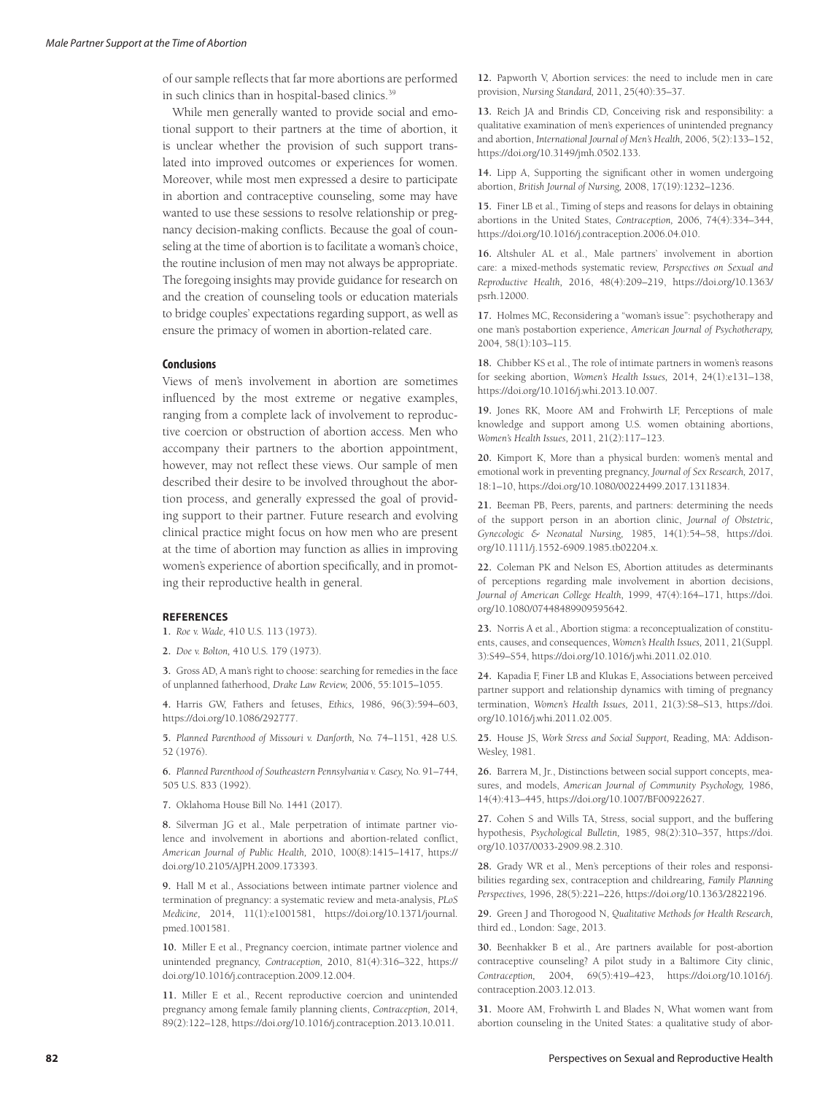of our sample reflects that far more abortions are performed in such clinics than in hospital-based clinics.<sup>39</sup>

While men generally wanted to provide social and emotional support to their partners at the time of abortion, it is unclear whether the provision of such support translated into improved outcomes or experiences for women. Moreover, while most men expressed a desire to participate in abortion and contraceptive counseling, some may have wanted to use these sessions to resolve relationship or pregnancy decision-making conflicts. Because the goal of counseling at the time of abortion is to facilitate a woman's choice, the routine inclusion of men may not always be appropriate. The foregoing insights may provide guidance for research on and the creation of counseling tools or education materials to bridge couples' expectations regarding support, as well as ensure the primacy of women in abortion-related care.

#### **Conclusions**

Views of men's involvement in abortion are sometimes influenced by the most extreme or negative examples, ranging from a complete lack of involvement to reproductive coercion or obstruction of abortion access. Men who accompany their partners to the abortion appointment, however, may not reflect these views. Our sample of men described their desire to be involved throughout the abortion process, and generally expressed the goal of providing support to their partner. Future research and evolving clinical practice might focus on how men who are present at the time of abortion may function as allies in improving women's experience of abortion specifically, and in promoting their reproductive health in general.

#### **REFERENCES**

**1.** *Roe v. Wade,* 410 U.S. 113 (1973).

**2.** *Doe v. Bolton,* 410 U.S. 179 (1973).

**3.** Gross AD, A man's right to choose: searching for remedies in the face of unplanned fatherhood, *Drake Law Review,* 2006, 55:1015–1055.

**4.** Harris GW, Fathers and fetuses, *Ethics,* 1986, 96(3):594–603, https://doi.org/10.1086/292777.

**5.** *Planned Parenthood of Missouri v. Danforth,* No. 74–1151, 428 U.S. 52 (1976).

**6.** *Planned Parenthood of Southeastern Pennsylvania v. Casey,* No. 91–744, 505 U.S. 833 (1992).

**7.** Oklahoma House Bill No. 1441 (2017).

**8.** Silverman JG et al., Male perpetration of intimate partner violence and involvement in abortions and abortion-related conflict, *American Journal of Public Health,* 2010, 100(8):1415–1417, [https://](https://doi.org/10.2105/AJPH.2009.173393) [doi.org/10.2105/AJPH.2009.173393](https://doi.org/10.2105/AJPH.2009.173393).

**9.** Hall M et al., Associations between intimate partner violence and termination of pregnancy: a systematic review and meta-analysis, *PLoS Medicine,* 2014, 11(1):e1001581, [https://doi.org/10.1371/journal.](https://doi.org/10.1371/journal.pmed.1001581) [pmed.1001581.](https://doi.org/10.1371/journal.pmed.1001581)

**10.** Miller E et al., Pregnancy coercion, intimate partner violence and unintended pregnancy, *Contraception,* 2010, 81(4):316–322, https:// doi.org/10.1016/j.contraception.2009.12.004.

**11.** Miller E et al., Recent reproductive coercion and unintended pregnancy among female family planning clients, *Contraception,* 2014, 89(2):122–128, <https://doi.org/10.1016/j.contraception.2013.10.011>.

**12.** Papworth V, Abortion services: the need to include men in care provision, *Nursing Standard,* 2011, 25(40):35–37.

**13.** Reich JA and Brindis CD, Conceiving risk and responsibility: a qualitative examination of men's experiences of unintended pregnancy and abortion, *International Journal of Men's Health,* 2006, 5(2):133–152, htt[ps://doi.org/10.3149/jmh.0502.133](https://doi.org/10.3149/jmh.0502.133).

**14.** Lipp A, Supporting the significant other in women undergoing abortion, *British Journal of Nursing,* 2008, 17(19):1232–1236.

**15.** Finer LB et al., Timing of steps and reasons for delays in obtaining abortions in the United States, *Contraception,* 2006, 74(4):334–344, [https://doi.org/10.1016/j.contraception.2006.04.010.](https://doi.org/10.1016/j.contraception.2006.04.010)

**16.** Altshuler AL et al., Male partners' involvement in abortion care: a mixed-methods systematic review, *Perspectives on Sexual and Reproductive Health,* 2016, 48(4):209–219, https://doi.org/10.1363/ psrh.12000.

**17.** Holmes MC, Reconsidering a "woman's issue": psychotherapy and one man's postabortion experience, *American Journal of Psychotherapy,* 2004, 58(1):103–115.

**18.** Chibber KS et al., The role of intimate partners in women's reasons for seeking abortion, *Women's Health Issues,* 2014, 24(1):e131–138, https://doi.org/10.1016/j.whi.2013.10.007.

**19.** Jones RK, Moore AM and Frohwirth LF, Perceptions of male knowledge and support among U.S. women obtaining abortions, *Women's Health Issues,* 2011, 21(2):117–123.

**20.** Kimport K, More than a physical burden: women's mental and emotional work in preventing pregnancy, *Journal of Sex Research,* 2017, 18:1–10, <https://doi.org/10.1080/00224499.2017.1311834>.

**21.** Beeman PB, Peers, parents, and partners: determining the needs of the support person in an abortion clinic, *Journal of Obstetric, Gynecologic & Neonatal Nursing,* 1985, 14(1):54–58, [https://doi.](https://doi.org/10.1111/j.1552-6909.1985.tb02204.x) [org/10.1111/j.1552-6909.1985.tb02204.x.](https://doi.org/10.1111/j.1552-6909.1985.tb02204.x)

**22.** Coleman PK and Nelson ES, Abortion attitudes as determinants of perceptions regarding male involvement in abortion decisions, *Journal of American College Health,* 1999, 47(4):164–171, [https://doi.](https://doi.org/10.1080/07448489909595642) [org/10.1080/07448489909595642.](https://doi.org/10.1080/07448489909595642)

**23.** Norris A et al., Abortion stigma: a reconceptualization of constituents, causes, and consequences, *Women's Health Issues,* 2011, 21(Suppl. 3):S49–S54, http[s://doi.org/10.1016/j.whi.2011.02.010](https://doi.org/10.1016/j.whi.2011.02.010).

**24.** Kapadia F, Finer LB and Klukas E, Associations between perceived partner support and relationship dynamics with timing of pregnancy termination, *Women's Health Issues,* 2011, 21(3):S8–S13, https://doi. org/10.1016/j.whi.2011.02.005.

**25.** House JS, *Work Stress and Social Support,* Reading, MA: Addison-Wesley, 1981.

**26.** Barrera M, Jr., Distinctions between social support concepts, measures, and models, *American Journal of Community Psychology,* 1986, 14(4):413–445,<https://doi.org/10.1007/BF00922627>.

**27.** Cohen S and Wills TA, Stress, social support, and the buffering hypothesis, *Psychological Bulletin,* 1985, 98(2):310–357, [https://doi.](https://doi.org/10.1037/0033-2909.98.2.310) [org/10.1037/0033-2909.98.2.310.](https://doi.org/10.1037/0033-2909.98.2.310)

**28.** Grady WR et al., Men's perceptions of their roles and responsibilities regarding sex, contraception and childrearing, *Family Planning Perspectives,* 1996, 28(5):221–226, https://doi.org/10.1363/2822196.

**29.** Green J and Thorogood N, *Qualitative Methods for Health Research,* third ed., London: Sage, 2013.

**30.** Beenhakker B et al., Are partners available for post-abortion contraceptive counseling? A pilot study in a Baltimore City clinic, *Contraception,* 2004, 69(5):419–423, [https://doi.org/10.1016/j.](https://doi.org/10.1016/j.contraception.2003.12.013) [contraception.2003.12.013.](https://doi.org/10.1016/j.contraception.2003.12.013)

**31.** Moore AM, Frohwirth L and Blades N, What women want from abortion counseling in the United States: a qualitative study of abor